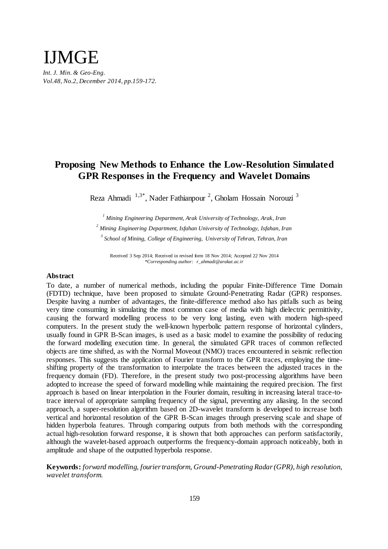# *Int. J. Min. & Geo-Eng. Vol.48, No.2, December 2014, pp.159-172.*  IJMGE

# **Proposing New Methods to Enhance the Low-Resolution Simulated GPR Responses in the Frequency and Wavelet Domains**

Reza Ahmadi <sup>1,3\*</sup>, Nader Fathianpour <sup>2</sup>, Gholam Hossain Norouzi <sup>3</sup>

*<sup>1</sup> Mining Engineering Department, Arak University of Technology, Arak, Iran <sup>2</sup> Mining Engineering Department, Isfahan University of Technology, Isfahan, Iran 3 School of Mining, College of Engineering, University of Tehran, Tehran, Iran* 

Received 3 Sep 2014; Received in revised form 18 Nov 2014; Accepted 22 Nov 2014 *\*Corresponding author: r\_ahmadi@arakut.ac.ir* 

# **Abstract**

To date, a number of numerical methods, including the popular Finite-Difference Time Domain (FDTD) technique, have been proposed to simulate Ground-Penetrating Radar (GPR) responses. Despite having a number of advantages, the finite-difference method also has pitfalls such as being very time consuming in simulating the most common case of media with high dielectric permittivity, causing the forward modelling process to be very long lasting, even with modern high-speed computers. In the present study the well-known hyperbolic pattern response of horizontal cylinders, usually found in GPR B-Scan images, is used as a basic model to examine the possibility of reducing the forward modelling execution time. In general, the simulated GPR traces of common reflected objects are time shifted, as with the Normal Moveout (NMO) traces encountered in seismic reflection responses. This suggests the application of Fourier transform to the GPR traces, employing the timeshifting property of the transformation to interpolate the traces between the adjusted traces in the frequency domain (FD). Therefore, in the present study two post-processing algorithms have been adopted to increase the speed of forward modelling while maintaining the required precision. The first approach is based on linear interpolation in the Fourier domain, resulting in increasing lateral trace-totrace interval of appropriate sampling frequency of the signal, preventing any aliasing. In the second approach, a super-resolution algorithm based on 2D-wavelet transform is developed to increase both vertical and horizontal resolution of the GPR B-Scan images through preserving scale and shape of hidden hyperbola features. Through comparing outputs from both methods with the corresponding actual high-resolution forward response, it is shown that both approaches can perform satisfactorily, although the wavelet-based approach outperforms the frequency-domain approach noticeably, both in amplitude and shape of the outputted hyperbola response.

**Keywords:** *forward modelling, fourier transform, Ground-Penetrating Radar (GPR), high resolution, wavelet transform.*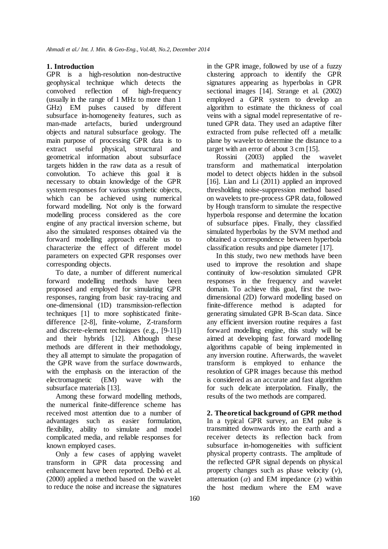# **1. Introduction**

GPR is a high-resolution non-destructive geophysical technique which detects the convolved reflection of high-frequency (usually in the range of 1 MHz to more than 1 GHz) EM pulses caused by different subsurface in-homogeneity features, such as man-made artefacts, buried underground objects and natural subsurface geology. The main purpose of processing GPR data is to extract useful physical, structural and geometrical information about subsurface targets hidden in the raw data as a result of convolution. To achieve this goal it is necessary to obtain knowledge of the GPR system responses for various synthetic objects, which can be achieved using numerical forward modelling. Not only is the forward modelling process considered as the core engine of any practical inversion scheme, but also the simulated responses obtained via the forward modelling approach enable us to characterize the effect of different model parameters on expected GPR responses over corresponding objects.

To date, a number of different numerical forward modelling methods have been proposed and employed for simulating GPR responses, ranging from basic ray-tracing and one-dimensional (1D) transmission-reflection techniques [1] to more sophisticated finitedifference [2-8], finite-volume, Z-transform and discrete-element techniques (e.g., [9-11]) and their hybrids [12]. Although these methods are different in their methodology, they all attempt to simulate the propagation of the GPR wave from the surface downwards, with the emphasis on the interaction of the electromagnetic (EM) wave with the subsurface materials [13].

Among these forward modelling methods, the numerical finite-difference scheme has received most attention due to a number of advantages such as easier formulation, flexibility, ability to simulate and model complicated media, and reliable responses for known employed cases.

Only a few cases of applying wavelet transform in GPR data processing and enhancement have been reported. Delbò et al. (2000) applied a method based on the wavelet to reduce the noise and increase the signatures

in the GPR image, followed by use of a fuzzy clustering approach to identify the GPR signatures appearing as hyperbolas in GPR sectional images [14]. Strange et al. (2002) employed a GPR system to develop an algorithm to estimate the thickness of coal veins with a signal model representative of retuned GPR data. They used an adaptive filter extracted from pulse reflected off a metallic plane by wavelet to determine the distance to a target with an error of about 3 cm [15].

Rossini (2003) applied the wavelet transform and mathematical interpolation model to detect objects hidden in the subsoil [16]. Lian and Li (2011) applied an improved thresholding noise-suppression method based on wavelets to pre-process GPR data, followed by Hough transform to simulate the respective hyperbola response and determine the location of subsurface pipes. Finally, they classified simulated hyperbolas by the SVM method and obtained a correspondence between hyperbola classification results and pipe diameter [17].

In this study, two new methods have been used to improve the resolution and shape continuity of low-resolution simulated GPR responses in the frequency and wavelet domain. To achieve this goal, first the twodimensional (2D) forward modelling based on finite-difference method is adapted for generating simulated GPR B-Scan data. Since any efficient inversion routine requires a fast forward modelling engine, this study will be aimed at developing fast forward modelling algorithms capable of being implemented in any inversion routine. Afterwards, the wavelet transform is employed to enhance the resolution of GPR images because this method is considered as an accurate and fast algorithm for such delicate interpolation. Finally, the results of the two methods are compared.

**2. Theoretical background of GPR method** In a typical GPR survey, an EM pulse is transmitted downwards into the earth and a receiver detects its reflection back from subsurface in-homogeneities with sufficient physical property contrasts. The amplitude of the reflected GPR signal depends on physical property changes such as phase velocity (*v*), attenuation  $(\alpha)$  and EM impedance  $(z)$  within the host medium where the EM wave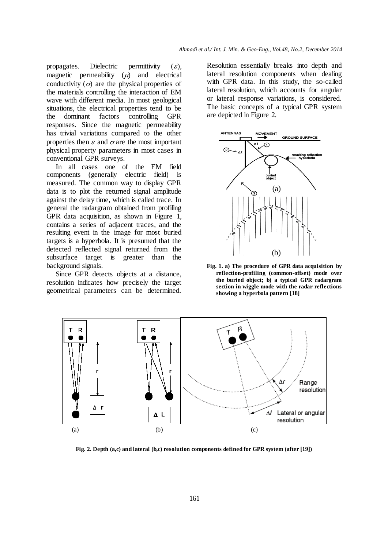propagates. Dielectric permittivity  $(\varepsilon)$ , magnetic permeability  $(\mu)$  and electrical conductivity  $(\sigma)$  are the physical properties of the materials controlling the interaction of EM wave with different media. In most geological situations, the electrical properties tend to be the dominant factors controlling GPR responses. Since the magnetic permeability has trivial variations compared to the other properties then  $\varepsilon$  and  $\sigma$  are the most important physical property parameters in most cases in conventional GPR surveys.

In all cases one of the EM field components (generally electric field) is measured. The common way to display GPR data is to plot the returned signal amplitude against the delay time, which is called trace. In general the radargram obtained from profiling GPR data acquisition, as shown in Figure 1, contains a series of adjacent traces, and the resulting event in the image for most buried targets is a hyperbola. It is presumed that the detected reflected signal returned from the subsurface target is greater than the background signals.

Since GPR detects objects at a distance, resolution indicates how precisely the target geometrical parameters can be determined.

Resolution essentially breaks into depth and lateral resolution components when dealing with GPR data. In this study, the so-called lateral resolution, which accounts for angular or lateral response variations, is considered. The basic concepts of a typical GPR system are depicted in Figure 2.



**Fig. 1. a) The procedure of GPR data acquisition by reflection-profiling (common-offset) mode over the buried object; b) a typical GPR radargram section in wiggle mode with the radar reflections showing a hyperbola pattern [18]**



**Fig. 2. Depth (a,c) and lateral (b,c) resolution components defined for GPR system (after [19])**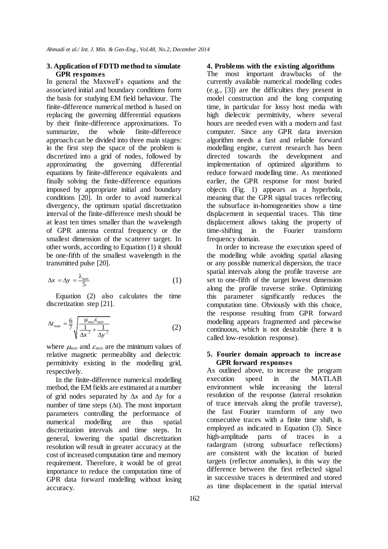# **3. Application of FDTD method to simulate GPR responses**

In general the Maxwell's equations and the associated initial and boundary conditions form the basis for studying EM field behaviour. The finite-difference numerical method is based on replacing the governing differential equations by their finite-difference approximations. To summarize, the whole finite-difference approach can be divided into three main stages: in the first step the space of the problem is discretized into a grid of nodes, followed by approximating the governing differential equations by finite-difference equivalents and finally solving the finite-difference equations imposed by appropriate initial and boundary conditions [20]. In order to avoid numerical divergency, the optimum spatial discretization interval of the finite-difference mesh should be at least ten times smaller than the wavelength of GPR antenna central frequency or the smallest dimension of the scatterer target. In other words, according to Equation (1) it should be one-fifth of the smallest wavelength in the transmitted pulse [20].

$$
\Delta x = \Delta y = \frac{\lambda_{\min}}{5} \tag{1}
$$

Equation (2) also calculates the time discretization step [21].

$$
\Delta t_{\text{max}} = \frac{6}{7} \sqrt{\frac{\mu_{\text{min}} \varepsilon_{\text{min}}}{\Delta x^2 + \frac{1}{\Delta y^2}}}
$$
(2)

where  $\mu_{min}$  and  $\varepsilon_{min}$  are the minimum values of relative magnetic permeability and dielectric permittivity existing in the modelling grid, respectively.

In the finite-difference numerical modelling method, the EM fields are estimated at a number of grid nodes separated by  $\Delta x$  and  $\Delta y$  for a number of time steps  $(\Delta t)$ . The most important parameters controlling the performance of numerical modelling are thus spatial discretization intervals and time steps. In general, lowering the spatial discretization resolution will result in greater accuracy at the cost of increased computation time and memory requirement. Therefore, it would be of great importance to reduce the computation time of GPR data forward modelling without losing accuracy.

### **4. Problems with the existing algorithms**

The most important drawbacks of the currently available numerical modelling codes (e.g., [3]) are the difficulties they present in model construction and the long computing time, in particular for lossy host media with high dielectric permittivity, where several hours are needed even with a modern and fast computer. Since any GPR data inversion algorithm needs a fast and reliable forward modelling engine, current research has been directed towards the development and implementation of optimized algorithms to reduce forward modelling time. As mentioned earlier, the GPR response for most buried objects (Fig. 1) appears as a hyperbola, meaning that the GPR signal traces reflecting the subsurface in-homogeneities show a time displacement in sequential traces. This time displacement allows taking the property of time-shifting in the Fourier transform frequency domain.

In order to increase the execution speed of the modelling while avoiding spatial aliasing or any possible numerical dispersion, the trace spatial intervals along the profile traverse are set to one-fifth of the target lowest dimension along the profile traverse strike. Optimizing this parameter significantly reduces the computation time. Obviously with this choice, the response resulting from GPR forward modelling appears fragmented and piecewise continuous, which is not desirable (here it is called low-resolution response).

# **5. Fourier domain approach to increase GPR forward responses**

As outlined above, to increase the program execution speed in the MATLAB environment while increasing the lateral resolution of the response (lateral resolution of trace intervals along the profile traverse), the fast Fourier transform of any two consecutive traces with a finite time shift, is employed as indicated in Equation (3). Since high-amplitude parts of traces in a radargram (strong subsurface reflections) are consistent with the location of buried targets (reflector anomalies), in this way the difference between the first reflected signal in successive traces is determined and stored as time displacement in the spatial interval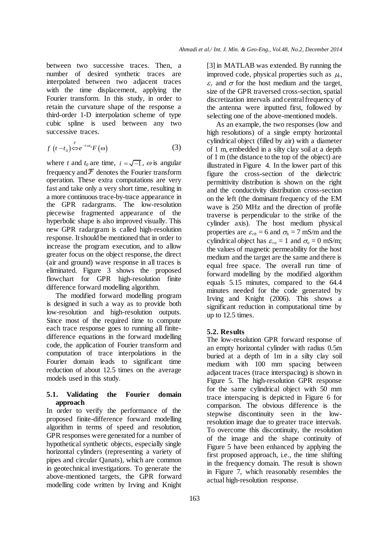between two successive traces. Then, a number of desired synthetic traces are interpolated between two adjacent traces with the time displacement, applying the Fourier transform. In this study, in order to retain the curvature shape of the response a third-order 1-D interpolation scheme of type cubic spline is used between any two successive traces.

$$
f(t-t_0) \stackrel{F}{\Longleftrightarrow} e^{-i\omega t_0} F(\omega) \tag{3}
$$

where *t* and  $t_0$  are time,  $i = \sqrt{-1}$ ,  $\omega$  is angular frequency and  $\mathcal F$  denotes the Fourier transform operation. These extra computations are very fast and take only a very short time, resulting in a more continuous trace-by-trace appearance in the GPR radargrams. The low-resolution piecewise fragmented appearance of the hyperbolic shape is also improved visually. This new GPR radargram is called high-resolution response. It should be mentioned that in order to increase the program execution, and to allow greater focus on the object response, the direct (air and ground) wave response in all traces is eliminated. Figure 3 shows the proposed flowchart for GPR high-resolution finite difference forward modelling algorithm.

The modified forward modelling program is designed in such a way as to provide both low-resolution and high-resolution outputs. Since most of the required time to compute each trace response goes to running all finitedifference equations in the forward modelling code, the application of Fourier transform and computation of trace interpolations in the Fourier domain leads to significant time reduction of about 12.5 times on the average models used in this study.

# **5.1. Validating the Fourier domain approach**

In order to verify the performance of the proposed finite-difference forward modelling algorithm in terms of speed and resolution, GPR responses were generated for a number of hypothetical synthetic objects, especially single horizontal cylinders (representing a variety of pipes and circular Qanats), which are common in geotechnical investigations. To generate the above-mentioned targets, the GPR forward modelling code written by Irving and Knight

[3] in MATLAB was extended. By running the improved code, physical properties such as  $\mu_r$ ,  $\epsilon_r$  and  $\sigma$  for the host medium and the target, size of the GPR traversed cross-section, spatial discretization intervals and central frequency of the antenna were inputted first, followed by selecting one of the above-mentioned models.

As an example, the two responses (low and high resolutions) of a single empty horizontal cylindrical object (filled by air) with a diameter of 1 m, embedded in a silty clay soil at a depth of 1 m (the distance to the top of the object) are illustrated in Figure 4. In the lower part of this figure the cross-section of the dielectric permittivity distribution is shown on the right and the conductivity distribution cross-section on the left (the dominant frequency of the EM wave is 250 MHz and the direction of profile traverse is perpendicular to the strike of the cylinder axis). The host medium physical properties are  $\varepsilon_{rh} = 6$  and  $\sigma_h = 7$  mS/m and the cylindrical object has  $\varepsilon_{ro} = 1$  and  $\sigma_{o} = 0$  mS/m; the values of magnetic permeability for the host medium and the target are the same and there is equal free space. The overall run time of forward modelling by the modified algorithm equals 5.15 minutes, compared to the 64.4 minutes needed for the code generated by Irving and Knight (2006). This shows a significant reduction in computational time by up to 12.5 times.

# **5.2. Results**

The low-resolution GPR forward response of an empty horizontal cylinder with radius 0.5m buried at a depth of 1m in a silty clay soil medium with 100 mm spacing between adjacent traces (trace interspacing) is shown in Figure 5. The high-resolution GPR response for the same cylindrical object with 50 mm trace interspacing is depicted in Figure 6 for comparison. The obvious difference is the stepwise discontinuity seen in the lowresolution image due to greater trace intervals. To overcome this discontinuity, the resolution of the image and the shape continuity of Figure 5 have been enhanced by applying the first proposed approach, i.e., the time shifting in the frequency domain. The result is shown in Figure 7, which reasonably resembles the actual high-resolution response.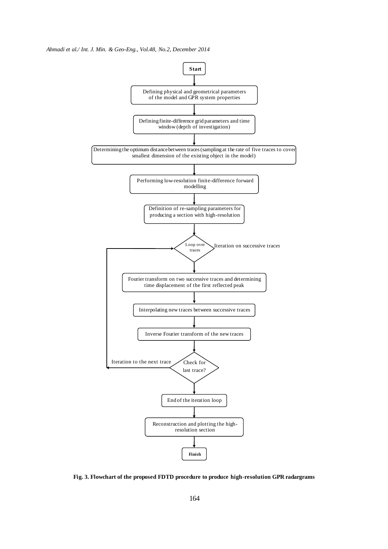#### *Ahmadi et al./ Int. J. Min. & Geo-Eng., Vol.48, No.2, December 2014*



**Fig. 3. Flowchart of the proposed FDTD procedure to produce high-resolution GPR radargrams**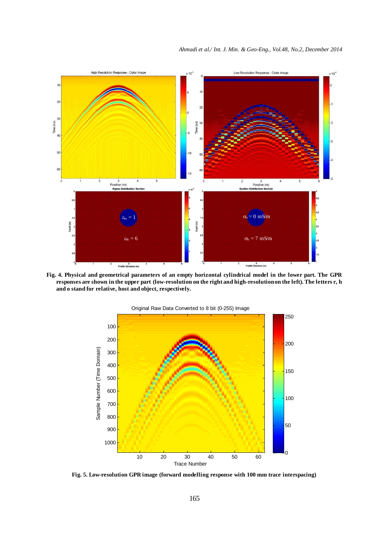

**Fig. 4. Physical and geometrical parameters of an empty horizontal cylindrical model in the lower part. The GPR responses are shown in the upper part (low-resolution on the right and high-resolution on the left). The letters r, h and o stand for relative, host and object, respectively.**



**Fig. 5. Low-resolution GPR image (forward modelling response with 100 mm trace interspacing)**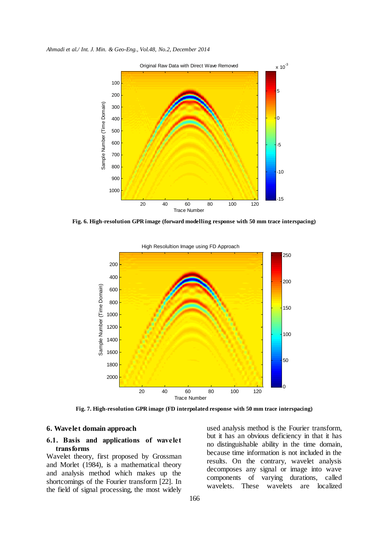*Ahmadi et al./ Int. J. Min. & Geo-Eng., Vol.48, No.2, December 2014*



**Fig. 6. High-resolution GPR image (forward modelling response with 50 mm trace interspacing)**



High Resolultion Image using FD Approach

**Fig. 7. High-resolution GPR image (FD interpolated response with 50 mm trace interspacing)**

# **6. Wavelet domain approach**

# **6.1. Basis and applications of wavelet transforms**

Wavelet theory, first proposed by Grossman and Morlet (1984), is a mathematical theory and analysis method which makes up the shortcomings of the Fourier transform [22]. In the field of signal processing, the most widely used analysis method is the Fourier transform, but it has an obvious deficiency in that it has no distinguishable ability in the time domain, because time information is not included in the results. On the contrary, wavelet analysis decomposes any signal or image into wave components of varying durations, called wavelets. These wavelets are localized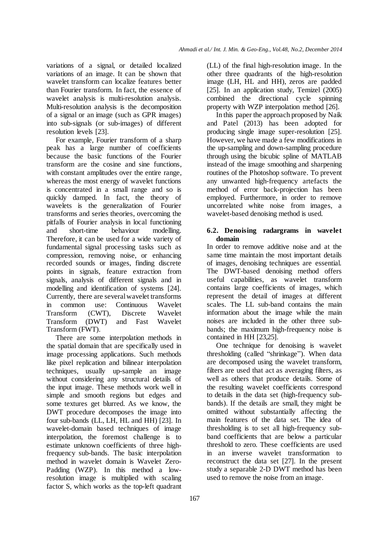variations of a signal, or detailed localized variations of an image. It can be shown that wavelet transform can localize features better than Fourier transform. In fact, the essence of wavelet analysis is multi-resolution analysis. Multi-resolution analysis is the decomposition of a signal or an image (such as GPR images) into sub-signals (or sub-images) of different resolution levels [23].

For example, Fourier transform of a sharp peak has a large number of coefficients because the basic functions of the Fourier transform are the cosine and sine functions, with constant amplitudes over the entire range, whereas the most energy of wavelet functions is concentrated in a small range and so is quickly damped. In fact, the theory of wavelets is the generalization of Fourier transforms and series theories, overcoming the pitfalls of Fourier analysis in local functioning and short-time behaviour modelling. Therefore, it can be used for a wide variety of fundamental signal processing tasks such as compression, removing noise, or enhancing recorded sounds or images, finding discrete points in signals, feature extraction from signals, analysis of different signals and in modelling and identification of systems [24]. Currently, there are several wavelet transforms in common use: Continuous Wavelet Transform (CWT), Discrete Wavelet Transform (DWT) and Fast Wavelet Transform (FWT).

There are some interpolation methods in the spatial domain that are specifically used in image processing applications. Such methods like pixel replication and bilinear interpolation techniques, usually up-sample an image without considering any structural details of the input image. These methods work well in simple and smooth regions but edges and some textures get blurred. As we know, the DWT procedure decomposes the image into four sub-bands (LL, LH, HL and HH) [23]. In wavelet-domain based techniques of image interpolation, the foremost challenge is to estimate unknown coefficients of three highfrequency sub-bands. The basic interpolation method in wavelet domain is Wavelet Zero-Padding (WZP). In this method a lowresolution image is multiplied with scaling factor S, which works as the top-left quadrant

167

(LL) of the final high-resolution image. In the other three quadrants of the high-resolution image (LH, HL and HH), zeros are padded [25]. In an application study, Temizel (2005) combined the directional cycle spinning property with WZP interpolation method [26].

In this paper the approach proposed by Naik and Patel (2013) has been adopted for producing single image super-resolution [25]. However, we have made a few modifications in the up-sampling and down-sampling procedure through using the bicubic spline of MATLAB instead of the image smoothing and sharpening routines of the Photoshop software. To prevent any unwanted high-frequency artefacts the method of error back-projection has been employed. Furthermore, in order to remove uncorrelated white noise from images, a wavelet-based denoising method is used.

# **6.2. Denoising radargrams in wavelet domain**

In order to remove additive noise and at the same time maintain the most important details of images, denoising techniques are essential. The DWT-based denoising method offers useful capabilities, as wavelet transform contains large coefficients of images, which represent the detail of images at different scales. The LL sub-band contains the main information about the image while the main noises are included in the other three subbands; the maximum high-frequency noise is contained in HH [23,25].

One technique for denoising is wavelet thresholding (called "shrinkage"). When data are decomposed using the wavelet transform, filters are used that act as averaging filters, as well as others that produce details. Some of the resulting wavelet coefficients correspond to details in the data set (high-frequency subbands). If the details are small, they might be omitted without substantially affecting the main features of the data set. The idea of thresholding is to set all high-frequency subband coefficients that are below a particular threshold to zero. These coefficients are used in an inverse wavelet transformation to reconstruct the data set [27]. In the present study a separable 2-D DWT method has been used to remove the noise from an image.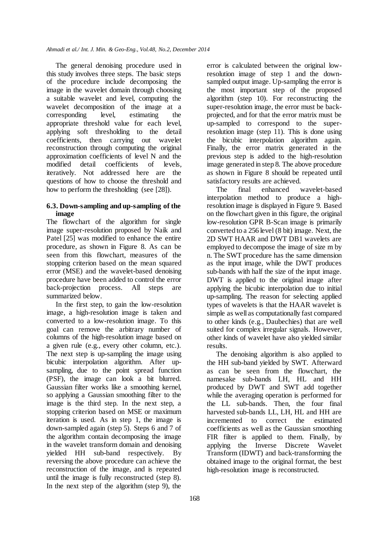The general denoising procedure used in this study involves three steps. The basic steps of the procedure include decomposing the image in the wavelet domain through choosing a suitable wavelet and level, computing the wavelet decomposition of the image at a corresponding level, estimating the appropriate threshold value for each level, applying soft thresholding to the detail coefficients, then carrying out wavelet reconstruction through computing the original approximation coefficients of level N and the modified detail coefficients of levels, iteratively. Not addressed here are the questions of how to choose the threshold and how to perform the thresholding (see [28]).

# **6.3. Down-sampling and up-sampling of the image**

The flowchart of the algorithm for single image super-resolution proposed by Naik and Patel [25] was modified to enhance the entire procedure, as shown in Figure 8. As can be seen from this flowchart, measures of the stopping criterion based on the mean squared error (MSE) and the wavelet-based denoising procedure have been added to control the error back-projection process. All steps are summarized below.

In the first step, to gain the low-resolution image, a high-resolution image is taken and converted to a low-resolution image. To this goal can remove the arbitrary number of columns of the high-resolution image based on a given rule (e.g., every other column, etc.). The next step is up-sampling the image using bicubic interpolation algorithm. After upsampling, due to the point spread function (PSF), the image can look a bit blurred. Gaussian filter works like a smoothing kernel, so applying a Gaussian smoothing filter to the image is the third step. In the next step, a stopping criterion based on MSE or maximum iteration is used. As in step 1, the image is down-sampled again (step 5). Steps 6 and 7 of the algorithm contain decomposing the image in the wavelet transform domain and denoising yielded HH sub-band respectively. By reversing the above procedure can achieve the reconstruction of the image, and is repeated until the image is fully reconstructed (step 8). In the next step of the algorithm (step 9), the

error is calculated between the original lowresolution image of step 1 and the downsampled output image. Up-sampling the error is the most important step of the proposed algorithm (step 10). For reconstructing the super-resolution image, the error must be backprojected, and for that the error matrix must be up-sampled to correspond to the superresolution image (step 11). This is done using the bicubic interpolation algorithm again. Finally, the error matrix generated in the previous step is added to the high-resolution image generated in step 8. The above procedure as shown in Figure 8 should be repeated until satisfactory results are achieved.

The final enhanced wavelet-based interpolation method to produce a highresolution image is displayed in Figure 9. Based on the flowchart given in this figure, the original low-resolution GPR B-Scan image is primarily converted to a 256 level (8 bit) image. Next, the 2D SWT HAAR and DWT DB1 wavelets are employed to decompose the image of size m by n. The SWT procedure has the same dimension as the input image, while the DWT produces sub-bands with half the size of the input image. DWT is applied to the original image after applying the bicubic interpolation due to initial up-sampling. The reason for selecting applied types of wavelets is that the HAAR wavelet is simple as well as computationally fast compared to other kinds (e.g., Daubechies) that are well suited for complex irregular signals. However, other kinds of wavelet have also yielded similar results.

The denoising algorithm is also applied to the HH sub-band yielded by SWT. Afterward as can be seen from the flowchart, the namesake sub-bands LH, HL and HH produced by DWT and SWT add together while the averaging operation is performed for the LL sub-bands. Then, the four final harvested sub-bands LL, LH, HL and HH are incremented to correct the estimated coefficients as well as the Gaussian smoothing FIR filter is applied to them. Finally, by applying the Inverse Discrete Wavelet Transform (IDWT) and back-transforming the obtained image to the original format, the best high-resolution image is reconstructed.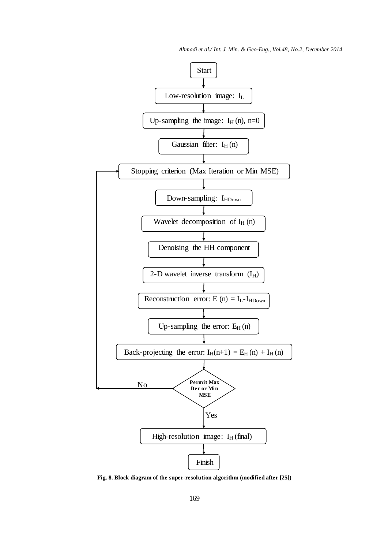*Ahmadi et al./ Int. J. Min. & Geo-Eng., Vol.48, No.2, December 2014*



**Fig. 8. Block diagram of the super-resolution algorithm (modified after [25])**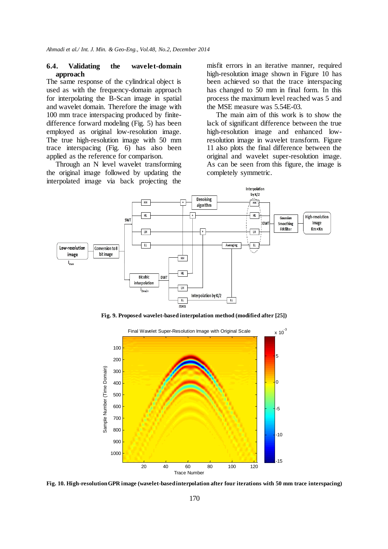# **6.4. Validating the wavelet-domain approach**

The same response of the cylindrical object is used as with the frequency-domain approach for interpolating the B-Scan image in spatial and wavelet domain. Therefore the image with 100 mm trace interspacing produced by finitedifference forward modeling (Fig. 5) has been employed as original low-resolution image. The true high-resolution image with 50 mm trace interspacing (Fig. 6) has also been applied as the reference for comparison.

Through an N level wavelet transforming the original image followed by updating the interpolated image via back projecting the misfit errors in an iterative manner, required high-resolution image shown in Figure 10 has been achieved so that the trace interspacing has changed to 50 mm in final form. In this process the maximum level reached was 5 and the MSE measure was 5.54E-03.

The main aim of this work is to show the lack of significant difference between the true high-resolution image and enhanced lowresolution image in wavelet transform. Figure 11 also plots the final difference between the original and wavelet super-resolution image. As can be seen from this figure, the image is completely symmetric.



**Fig. 9. Proposed wavelet-based interpolation method (modified after [25])**



**Fig. 10. High-resolution GPR image (wavelet-based interpolation after four iterations with 50 mm trace interspacing)**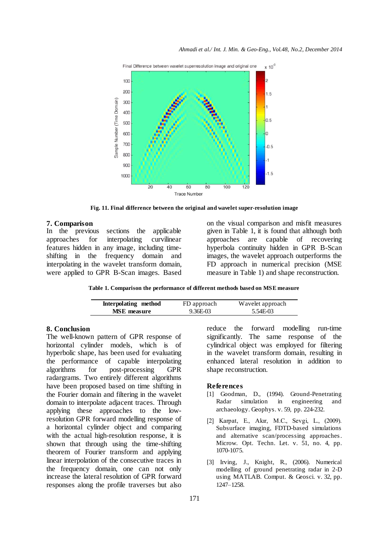

**Fig. 11. Final difference between the original and wavelet super-resolution image**

**7. Comparison** sections the applicable approaches for interpolating curvilinear features hidden in any image, including timeshifting in the frequency domain and interpolating in the wavelet transform domain, were applied to GPR B-Scan images. Based on the visual comparison and misfit measures given in Table 1, it is found that although both approaches are capable of recovering hyperbola continuity hidden in GPR B-Scan images, the wavelet approach outperforms the FD approach in numerical precision (MSE measure in Table 1) and shape reconstruction.

**Table 1. Comparison the performance of different methods based on MSE measure**

| Interpolating method | FD approach | Wavelet approach |
|----------------------|-------------|------------------|
| <b>MSE</b> measure   | 9.36E-03    | 5.54E-03         |

# **8. Conclusion**

The well-known pattern of GPR response of horizontal cylinder models, which is of hyperbolic shape, has been used for evaluating the performance of capable interpolating algorithms for post-processing GPR radargrams. Two entirely different algorithms have been proposed based on time shifting in the Fourier domain and filtering in the wavelet domain to interpolate adjacent traces. Through applying these approaches to the lowresolution GPR forward modelling response of a horizontal cylinder object and comparing with the actual high-resolution response, it is shown that through using the time-shifting theorem of Fourier transform and applying linear interpolation of the consecutive traces in the frequency domain, one can not only increase the lateral resolution of GPR forward responses along the profile traverses but also

reduce the forward modelling run-time significantly. The same response of the cylindrical object was employed for filtering in the wavelet transform domain, resulting in enhanced lateral resolution in addition to shape reconstruction.

#### **References**

- [1] Goodman, D., (1994). Ground-Penetrating Radar simulation in engineering and archaeology. Geophys. v. 59, pp. 224-232.
- [2] Karpat, E., Akır, M.C., Sevgi, L., (2009). Subsurface imaging, FDTD-based simulations and alternative scan/processing approaches. Microw. Opt. Techn. Let. v. 51, no. 4, pp. 1070-1075.
- [3] Irving, J., Knight, R., (2006). Numerical modelling of ground penetrating radar in 2-D using MATLAB. Comput. & Geosci. v. 32, pp. 1247–1258.